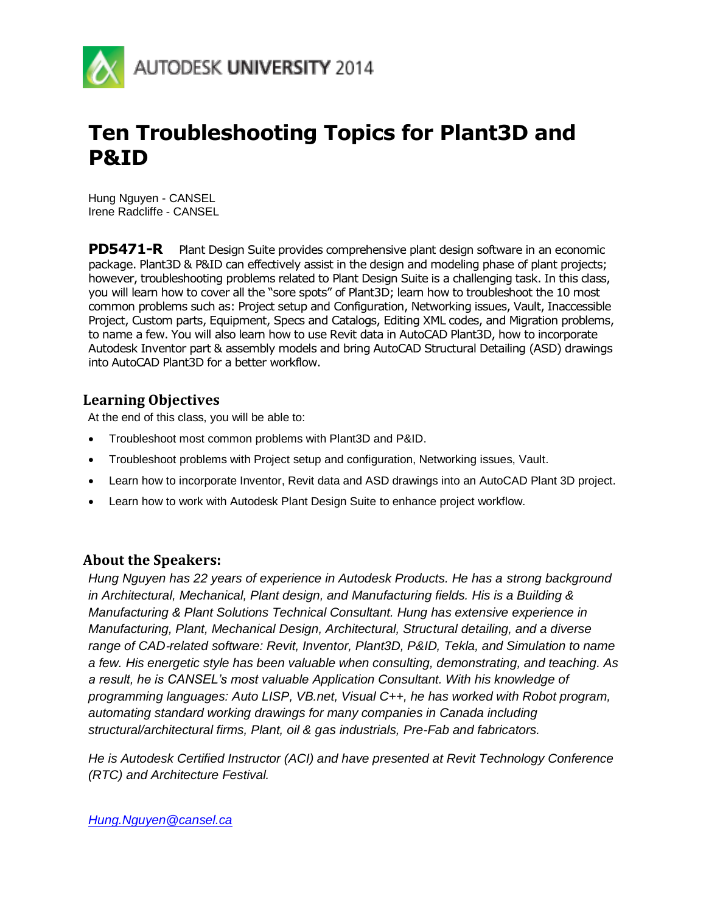

# **Ten Troubleshooting Topics for Plant3D and P&ID**

Hung Nguyen - CANSEL Irene Radcliffe - CANSEL

**PD5471-R** Plant Design Suite provides comprehensive plant design software in an economic package. Plant3D & P&ID can effectively assist in the design and modeling phase of plant projects; however, troubleshooting problems related to Plant Design Suite is a challenging task. In this class, you will learn how to cover all the "sore spots" of Plant3D; learn how to troubleshoot the 10 most common problems such as: Project setup and Configuration, Networking issues, Vault, Inaccessible Project, Custom parts, Equipment, Specs and Catalogs, Editing XML codes, and Migration problems, to name a few. You will also learn how to use Revit data in AutoCAD Plant3D, how to incorporate Autodesk Inventor part & assembly models and bring AutoCAD Structural Detailing (ASD) drawings into AutoCAD Plant3D for a better workflow.

## **Learning Objectives**

At the end of this class, you will be able to:

- Troubleshoot most common problems with Plant3D and P&ID.
- Troubleshoot problems with Project setup and configuration, Networking issues, Vault.
- Learn how to incorporate Inventor, Revit data and ASD drawings into an AutoCAD Plant 3D project.
- Learn how to work with Autodesk Plant Design Suite to enhance project workflow.

# **About the Speakers:**

*Hung Nguyen has 22 years of experience in Autodesk Products. He has a strong background in Architectural, Mechanical, Plant design, and Manufacturing fields. His is a Building & Manufacturing & Plant Solutions Technical Consultant. Hung has extensive experience in Manufacturing, Plant, Mechanical Design, Architectural, Structural detailing, and a diverse range of CAD*‐*related software: Revit, Inventor, Plant3D, P&ID, Tekla, and Simulation to name a few. His energetic style has been valuable when consulting, demonstrating, and teaching. As a result, he is CANSEL's most valuable Application Consultant. With his knowledge of programming languages: Auto LISP, VB.net, Visual C++, he has worked with Robot program, automating standard working drawings for many companies in Canada including structural/architectural firms, Plant, oil & gas industrials, Pre-Fab and fabricators.*

*He is Autodesk Certified Instructor (ACI) and have presented at Revit Technology Conference (RTC) and Architecture Festival.*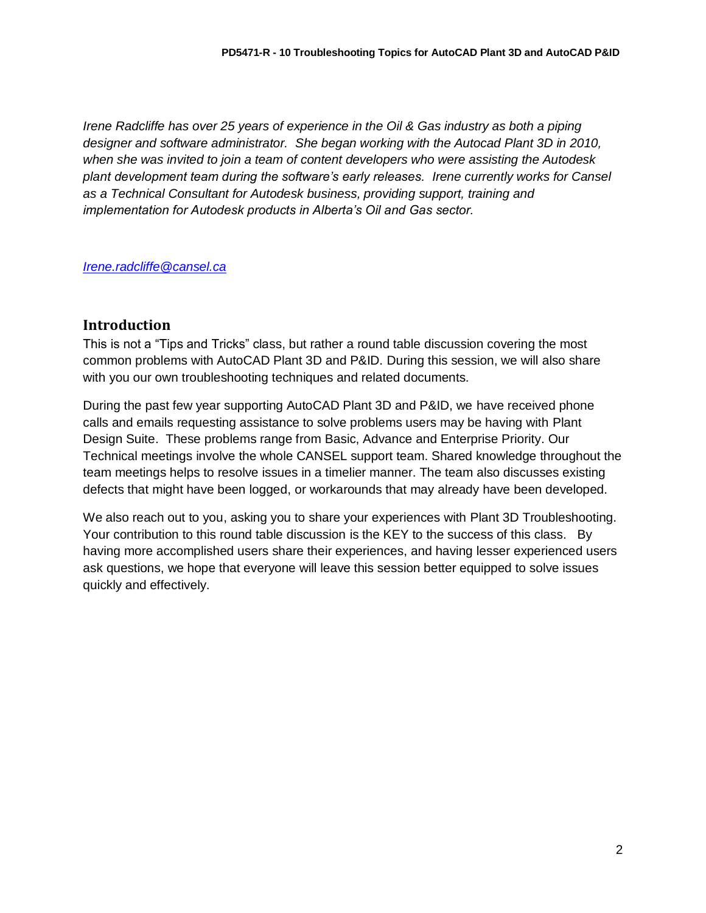*Irene Radcliffe has over 25 years of experience in the Oil & Gas industry as both a piping designer and software administrator. She began working with the Autocad Plant 3D in 2010, when she was invited to join a team of content developers who were assisting the Autodesk plant development team during the software's early releases. Irene currently works for Cansel as a Technical Consultant for Autodesk business, providing support, training and implementation for Autodesk products in Alberta's Oil and Gas sector.*

*[Irene.radcliffe@cansel.ca](mailto:Irene.radcliffe@cansel.ca)*

## **Introduction**

This is not a "Tips and Tricks" class, but rather a round table discussion covering the most common problems with AutoCAD Plant 3D and P&ID. During this session, we will also share with you our own troubleshooting techniques and related documents.

During the past few year supporting AutoCAD Plant 3D and P&ID, we have received phone calls and emails requesting assistance to solve problems users may be having with Plant Design Suite. These problems range from Basic, Advance and Enterprise Priority. Our Technical meetings involve the whole CANSEL support team. Shared knowledge throughout the team meetings helps to resolve issues in a timelier manner. The team also discusses existing defects that might have been logged, or workarounds that may already have been developed.

We also reach out to you, asking you to share your experiences with Plant 3D Troubleshooting. Your contribution to this round table discussion is the KEY to the success of this class. By having more accomplished users share their experiences, and having lesser experienced users ask questions, we hope that everyone will leave this session better equipped to solve issues quickly and effectively.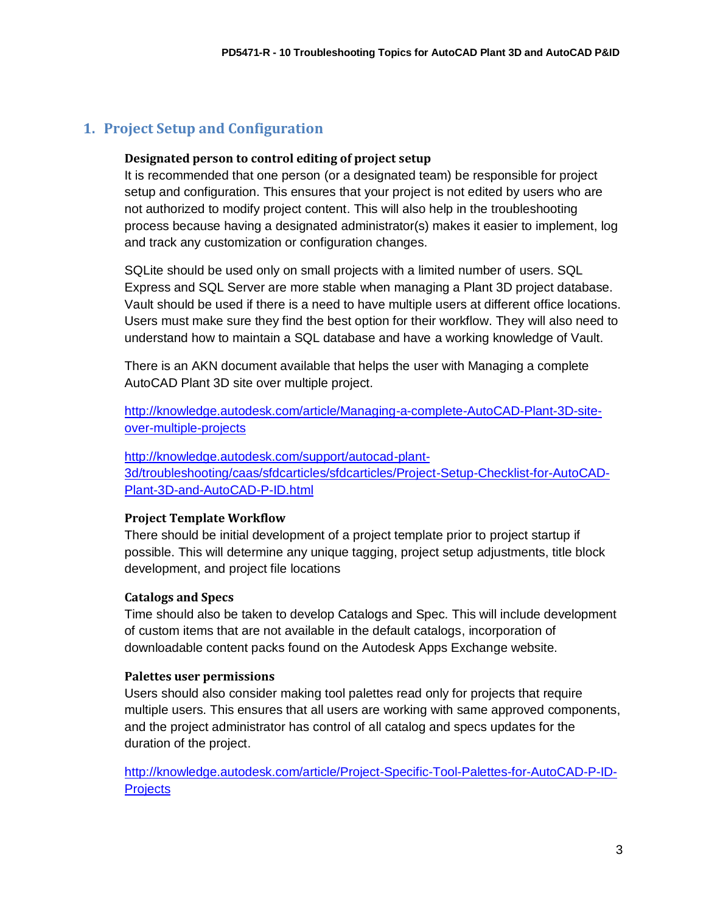# **1. Project Setup and Configuration**

## **Designated person to control editing of project setup**

It is recommended that one person (or a designated team) be responsible for project setup and configuration. This ensures that your project is not edited by users who are not authorized to modify project content. This will also help in the troubleshooting process because having a designated administrator(s) makes it easier to implement, log and track any customization or configuration changes.

SQLite should be used only on small projects with a limited number of users. SQL Express and SQL Server are more stable when managing a Plant 3D project database. Vault should be used if there is a need to have multiple users at different office locations. Users must make sure they find the best option for their workflow. They will also need to understand how to maintain a SQL database and have a working knowledge of Vault.

There is an AKN document available that helps the user with Managing a complete AutoCAD Plant 3D site over multiple project.

[http://knowledge.autodesk.com/article/Managing-a-complete-AutoCAD-Plant-3D-site](http://knowledge.autodesk.com/article/Managing-a-complete-AutoCAD-Plant-3D-site-over-multiple-projects)[over-multiple-projects](http://knowledge.autodesk.com/article/Managing-a-complete-AutoCAD-Plant-3D-site-over-multiple-projects)

[http://knowledge.autodesk.com/support/autocad-plant-](http://knowledge.autodesk.com/support/autocad-plant-3d/troubleshooting/caas/sfdcarticles/sfdcarticles/Project-Setup-Checklist-for-AutoCAD-Plant-3D-and-AutoCAD-P-ID.html)[3d/troubleshooting/caas/sfdcarticles/sfdcarticles/Project-Setup-Checklist-for-AutoCAD-](http://knowledge.autodesk.com/support/autocad-plant-3d/troubleshooting/caas/sfdcarticles/sfdcarticles/Project-Setup-Checklist-for-AutoCAD-Plant-3D-and-AutoCAD-P-ID.html)[Plant-3D-and-AutoCAD-P-ID.html](http://knowledge.autodesk.com/support/autocad-plant-3d/troubleshooting/caas/sfdcarticles/sfdcarticles/Project-Setup-Checklist-for-AutoCAD-Plant-3D-and-AutoCAD-P-ID.html)

## **Project Template Workflow**

There should be initial development of a project template prior to project startup if possible. This will determine any unique tagging, project setup adjustments, title block development, and project file locations

## **Catalogs and Specs**

Time should also be taken to develop Catalogs and Spec. This will include development of custom items that are not available in the default catalogs, incorporation of downloadable content packs found on the Autodesk Apps Exchange website.

#### **Palettes user permissions**

Users should also consider making tool palettes read only for projects that require multiple users. This ensures that all users are working with same approved components, and the project administrator has control of all catalog and specs updates for the duration of the project.

[http://knowledge.autodesk.com/article/Project-Specific-Tool-Palettes-for-AutoCAD-P-ID-](http://knowledge.autodesk.com/article/Project-Specific-Tool-Palettes-for-AutoCAD-P-ID-Projects)**[Projects](http://knowledge.autodesk.com/article/Project-Specific-Tool-Palettes-for-AutoCAD-P-ID-Projects)**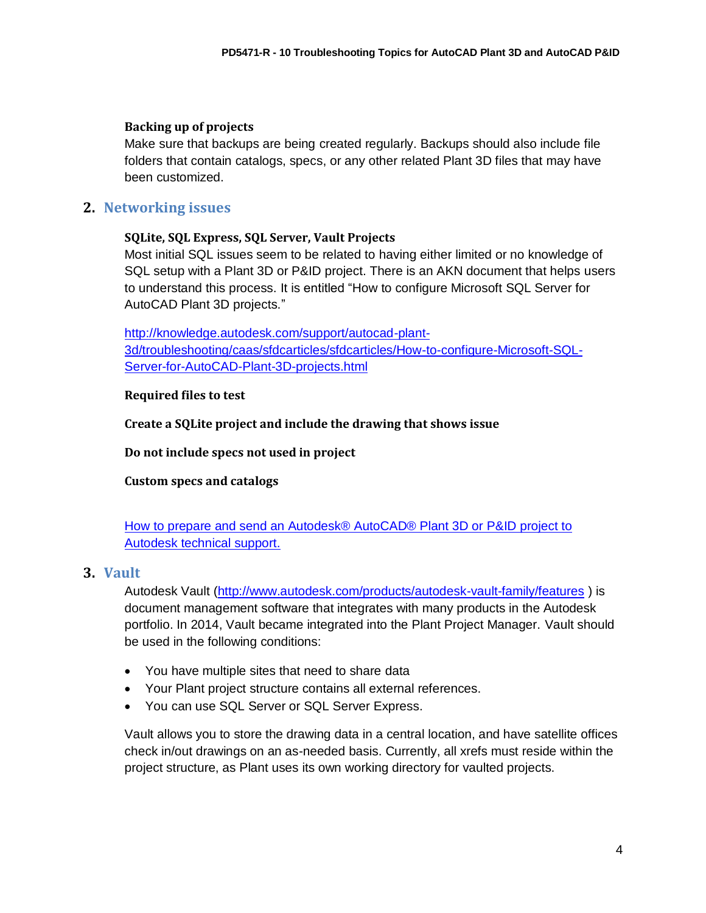## **Backing up of projects**

Make sure that backups are being created regularly. Backups should also include file folders that contain catalogs, specs, or any other related Plant 3D files that may have been customized.

# **2. Networking issues**

## **SQLite, SQL Express, SQL Server, Vault Projects**

Most initial SQL issues seem to be related to having either limited or no knowledge of SQL setup with a Plant 3D or P&ID project. There is an AKN document that helps users to understand this process. It is entitled "How to configure Microsoft SQL Server for AutoCAD Plant 3D projects."

[http://knowledge.autodesk.com/support/autocad-plant-](http://knowledge.autodesk.com/support/autocad-plant-3d/troubleshooting/caas/sfdcarticles/sfdcarticles/How-to-configure-Microsoft-SQL-Server-for-AutoCAD-Plant-3D-projects.html)[3d/troubleshooting/caas/sfdcarticles/sfdcarticles/How-to-configure-Microsoft-SQL-](http://knowledge.autodesk.com/support/autocad-plant-3d/troubleshooting/caas/sfdcarticles/sfdcarticles/How-to-configure-Microsoft-SQL-Server-for-AutoCAD-Plant-3D-projects.html)[Server-for-AutoCAD-Plant-3D-projects.html](http://knowledge.autodesk.com/support/autocad-plant-3d/troubleshooting/caas/sfdcarticles/sfdcarticles/How-to-configure-Microsoft-SQL-Server-for-AutoCAD-Plant-3D-projects.html)

## **Required files to test**

**Create a SQLite project and include the drawing that shows issue**

**Do not include specs not used in project**

**Custom specs and catalogs**

[How to prepare and send an Autodesk® AutoCAD® Plant 3D or](http://knowledge.autodesk.com/support/autocad-plant-3d/troubleshooting/caas/sfdcarticles/sfdcarticles/How-to-prepare-and-send-an-AutoCAD-Plant-3D-project-for-a-service-request-case.html) P&ID project to [Autodesk technical support.](http://knowledge.autodesk.com/support/autocad-plant-3d/troubleshooting/caas/sfdcarticles/sfdcarticles/How-to-prepare-and-send-an-AutoCAD-Plant-3D-project-for-a-service-request-case.html)

## **3. Vault**

Autodesk Vault [\(http://www.autodesk.com/products/autodesk-vault-family/features](http://www.autodesk.com/products/autodesk-vault-family/features) ) is document management software that integrates with many products in the Autodesk portfolio. In 2014, Vault became integrated into the Plant Project Manager. Vault should be used in the following conditions:

- You have multiple sites that need to share data
- Your Plant project structure contains all external references.
- You can use SQL Server or SQL Server Express.

Vault allows you to store the drawing data in a central location, and have satellite offices check in/out drawings on an as-needed basis. Currently, all xrefs must reside within the project structure, as Plant uses its own working directory for vaulted projects.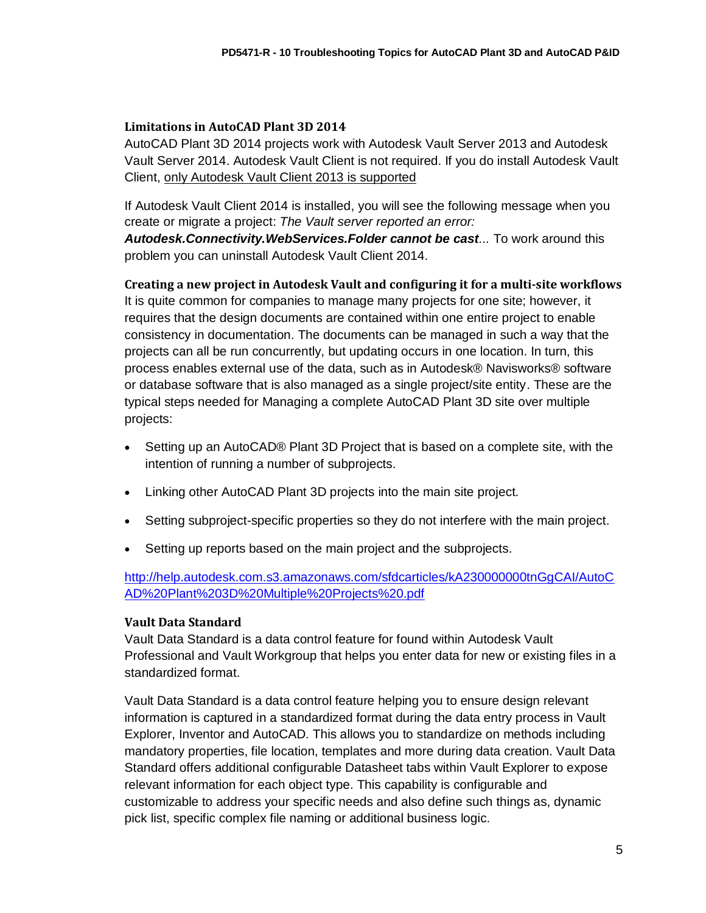## **Limitations in AutoCAD Plant 3D 2014**

AutoCAD Plant 3D 2014 projects work with Autodesk Vault Server 2013 and Autodesk Vault Server 2014. Autodesk Vault Client is not required. If you do install Autodesk Vault Client, only Autodesk Vault Client 2013 is supported

If Autodesk Vault Client 2014 is installed, you will see the following message when you create or migrate a project: *The Vault server reported an error: Autodesk.Connectivity.WebServices.Folder cannot be cast...* To work around this

problem you can uninstall Autodesk Vault Client 2014.

**Creating a new project in Autodesk Vault and configuring it for a multi-site workflows** It is quite common for companies to manage many projects for one site; however, it requires that the design documents are contained within one entire project to enable consistency in documentation. The documents can be managed in such a way that the projects can all be run concurrently, but updating occurs in one location. In turn, this process enables external use of the data, such as in Autodesk® Navisworks® software or database software that is also managed as a single project/site entity. These are the typical steps needed for Managing a complete AutoCAD Plant 3D site over multiple projects:

- Setting up an AutoCAD® Plant 3D Project that is based on a complete site, with the intention of running a number of subprojects.
- Linking other AutoCAD Plant 3D projects into the main site project.
- Setting subproject-specific properties so they do not interfere with the main project.
- Setting up reports based on the main project and the subprojects.

[http://help.autodesk.com.s3.amazonaws.com/sfdcarticles/kA230000000tnGgCAI/AutoC](http://help.autodesk.com.s3.amazonaws.com/sfdcarticles/kA230000000tnGgCAI/AutoCAD%20Plant%203D%20Multiple%20Projects%20.pdf) [AD%20Plant%203D%20Multiple%20Projects%20.pdf](http://help.autodesk.com.s3.amazonaws.com/sfdcarticles/kA230000000tnGgCAI/AutoCAD%20Plant%203D%20Multiple%20Projects%20.pdf)

## **Vault Data Standard**

Vault Data Standard is a data control feature for found within Autodesk Vault Professional and Vault Workgroup that helps you enter data for new or existing files in a standardized format.

Vault Data Standard is a data control feature helping you to ensure design relevant information is captured in a standardized format during the data entry process in Vault Explorer, Inventor and AutoCAD. This allows you to standardize on methods including mandatory properties, file location, templates and more during data creation. Vault Data Standard offers additional configurable Datasheet tabs within Vault Explorer to expose relevant information for each object type. This capability is configurable and customizable to address your specific needs and also define such things as, dynamic pick list, specific complex file naming or additional business logic.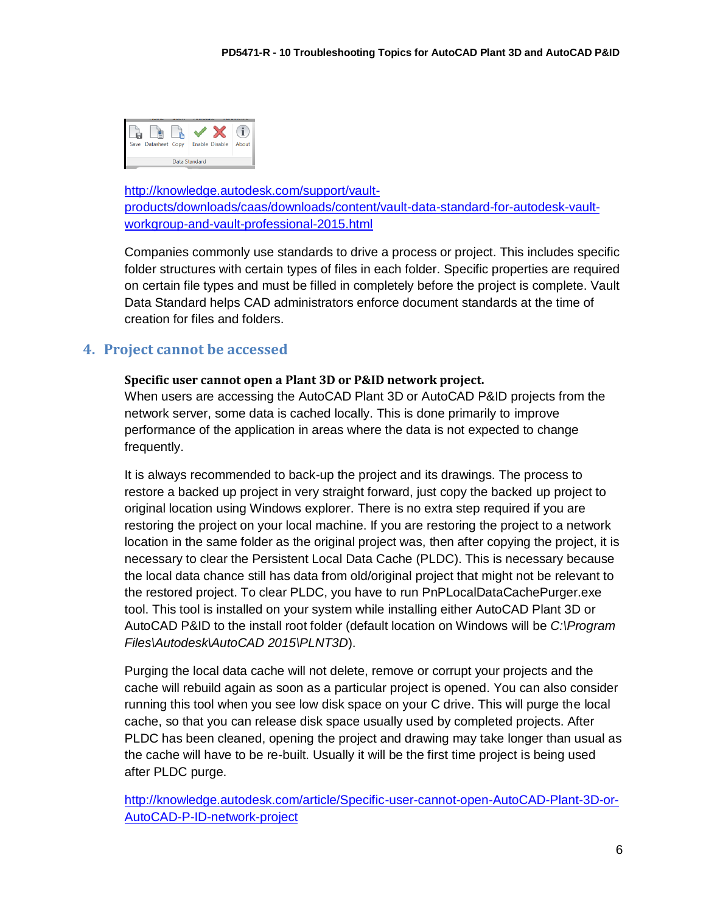

[http://knowledge.autodesk.com/support/vault](http://knowledge.autodesk.com/support/vault-products/downloads/caas/downloads/content/vault-data-standard-for-autodesk-vault-workgroup-and-vault-professional-2015.html)[products/downloads/caas/downloads/content/vault-data-standard-for-autodesk-vault](http://knowledge.autodesk.com/support/vault-products/downloads/caas/downloads/content/vault-data-standard-for-autodesk-vault-workgroup-and-vault-professional-2015.html)[workgroup-and-vault-professional-2015.html](http://knowledge.autodesk.com/support/vault-products/downloads/caas/downloads/content/vault-data-standard-for-autodesk-vault-workgroup-and-vault-professional-2015.html)

Companies commonly use standards to drive a process or project. This includes specific folder structures with certain types of files in each folder. Specific properties are required on certain file types and must be filled in completely before the project is complete. Vault Data Standard helps CAD administrators enforce document standards at the time of creation for files and folders.

# **4. Project cannot be accessed**

## **Specific user cannot open a Plant 3D or P&ID network project.**

When users are accessing the AutoCAD Plant 3D or AutoCAD P&ID projects from the network server, some data is cached locally. This is done primarily to improve performance of the application in areas where the data is not expected to change frequently.

It is always recommended to back-up the project and its drawings. The process to restore a backed up project in very straight forward, just copy the backed up project to original location using Windows explorer. There is no extra step required if you are restoring the project on your local machine. If you are restoring the project to a network location in the same folder as the original project was, then after copying the project, it is necessary to clear the Persistent Local Data Cache (PLDC). This is necessary because the local data chance still has data from old/original project that might not be relevant to the restored project. To clear PLDC, you have to run PnPLocalDataCachePurger.exe tool. This tool is installed on your system while installing either AutoCAD Plant 3D or AutoCAD P&ID to the install root folder (default location on Windows will be *C:\Program Files\Autodesk\AutoCAD 2015\PLNT3D*).

Purging the local data cache will not delete, remove or corrupt your projects and the cache will rebuild again as soon as a particular project is opened. You can also consider running this tool when you see low disk space on your C drive. This will purge the local cache, so that you can release disk space usually used by completed projects. After PLDC has been cleaned, opening the project and drawing may take longer than usual as the cache will have to be re-built. Usually it will be the first time project is being used after PLDC purge.

[http://knowledge.autodesk.com/article/Specific-user-cannot-open-AutoCAD-Plant-3D-or-](http://knowledge.autodesk.com/article/Specific-user-cannot-open-AutoCAD-Plant-3D-or-AutoCAD-P-ID-network-project)[AutoCAD-P-ID-network-project](http://knowledge.autodesk.com/article/Specific-user-cannot-open-AutoCAD-Plant-3D-or-AutoCAD-P-ID-network-project)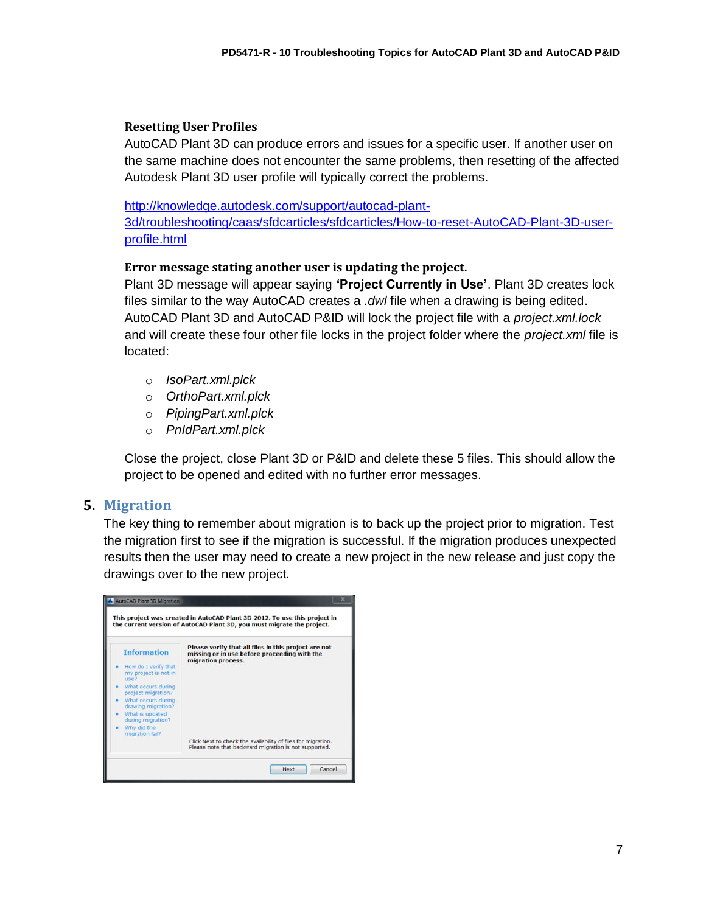## **Resetting User Profiles**

AutoCAD Plant 3D can produce errors and issues for a specific user. If another user on the same machine does not encounter the same problems, then resetting of the affected Autodesk Plant 3D user profile will typically correct the problems.

[http://knowledge.autodesk.com/support/autocad-plant-](http://knowledge.autodesk.com/support/autocad-plant-3d/troubleshooting/caas/sfdcarticles/sfdcarticles/How-to-reset-AutoCAD-Plant-3D-user-profile.html)

[3d/troubleshooting/caas/sfdcarticles/sfdcarticles/How-to-reset-AutoCAD-Plant-3D-user](http://knowledge.autodesk.com/support/autocad-plant-3d/troubleshooting/caas/sfdcarticles/sfdcarticles/How-to-reset-AutoCAD-Plant-3D-user-profile.html)[profile.html](http://knowledge.autodesk.com/support/autocad-plant-3d/troubleshooting/caas/sfdcarticles/sfdcarticles/How-to-reset-AutoCAD-Plant-3D-user-profile.html)

## **Error message stating another user is updating the project.**

Plant 3D message will appear saying **'Project Currently in Use'**. Plant 3D creates lock files similar to the way AutoCAD creates a *.dwl* file when a drawing is being edited. AutoCAD Plant 3D and AutoCAD P&ID will lock the project file with a *project.xml.lock* and will create these four other file locks in the project folder where the *project.xml* file is located:

- o *IsoPart.xml.plck*
- o *OrthoPart.xml.plck*
- o *PipingPart.xml.plck*
- o *PnIdPart.xml.plck*

Close the project, close Plant 3D or P&ID and delete these 5 files. This should allow the project to be opened and edited with no further error messages.

## **5. Migration**

The key thing to remember about migration is to back up the project prior to migration. Test the migration first to see if the migration is successful. If the migration produces unexpected results then the user may need to create a new project in the new release and just copy the drawings over to the new project.

| <b>AutoCAD Plant 3D Migration</b><br>This project was created in AutoCAD Plant 3D 2012. To use this project in<br>the current version of AutoCAD Plant 3D, you must migrate the project. |                                                                                                                       |  |
|------------------------------------------------------------------------------------------------------------------------------------------------------------------------------------------|-----------------------------------------------------------------------------------------------------------------------|--|
|                                                                                                                                                                                          |                                                                                                                       |  |
| Why did the<br>migration fail?                                                                                                                                                           | Click Next to check the availability of files for migration.<br>Please note that backward migration is not supported. |  |
|                                                                                                                                                                                          | Cancel<br><b>Next</b>                                                                                                 |  |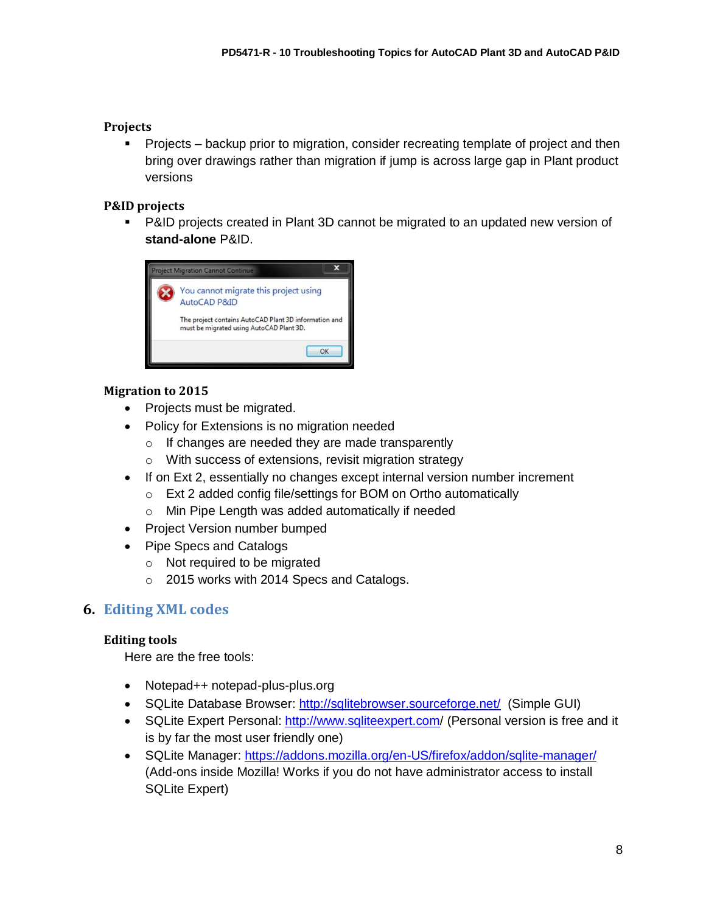## **Projects**

**Projects – backup prior to migration, consider recreating template of project and then** bring over drawings rather than migration if jump is across large gap in Plant product versions

## **P&ID projects**

 P&ID projects created in Plant 3D cannot be migrated to an updated new version of **stand-alone** P&ID.



## **Migration to 2015**

- Projects must be migrated.
- Policy for Extensions is no migration needed
	- o If changes are needed they are made transparently
	- o With success of extensions, revisit migration strategy
- If on Ext 2, essentially no changes except internal version number increment
	- o Ext 2 added config file/settings for BOM on Ortho automatically
	- o Min Pipe Length was added automatically if needed
- Project Version number bumped
- Pipe Specs and Catalogs
	- o Not required to be migrated
	- o 2015 works with 2014 Specs and Catalogs.

# **6. Editing XML codes**

## **Editing tools**

Here are the free tools:

- Notepad++ notepad-plus-plus.org
- SQLite Database Browser: <http://sqlitebrowser.sourceforge.net/> (Simple GUI)
- SQLite Expert Personal: <http://www.sqliteexpert.com/> (Personal version is free and it is by far the most user friendly one)
- SQLite Manager: <https://addons.mozilla.org/en-US/firefox/addon/sqlite-manager/> (Add-ons inside Mozilla! Works if you do not have administrator access to install SQLite Expert)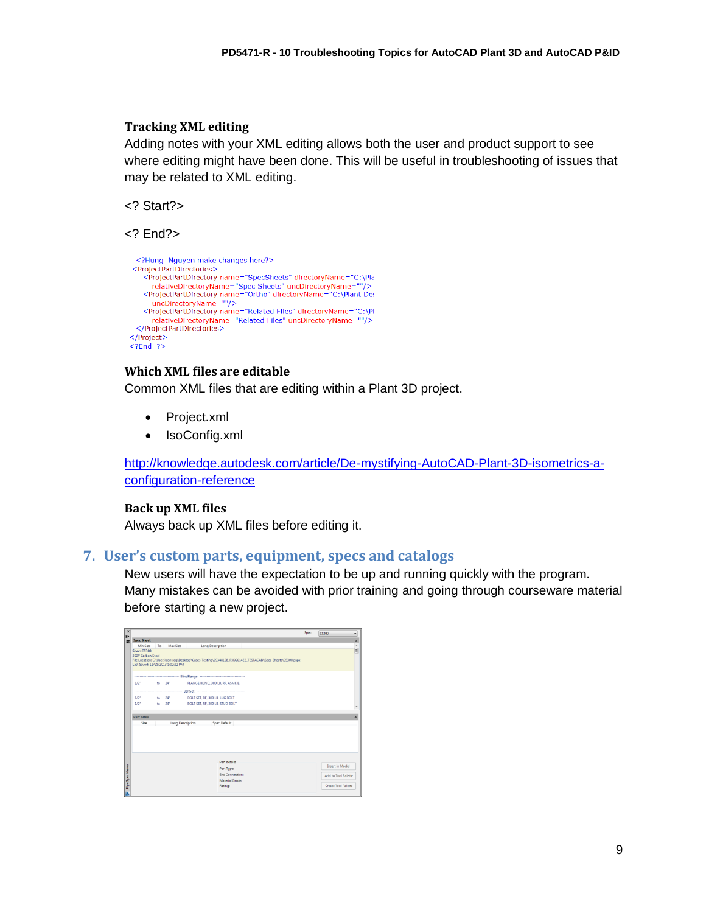## **Tracking XML editing**

Adding notes with your XML editing allows both the user and product support to see where editing might have been done. This will be useful in troubleshooting of issues that may be related to XML editing.

<? Start?>

<? End?>

```
<?Hung Nguyen make changes here?>
<ProjectPartDirectories>
    <ProjectPartDirectory name="SpecSheets" directoryName="C:\Pla
      relativeDirectoryName="Spec Sheets" uncDirectoryName=""
   <ProjectPartDirectory name="0rtho" directoryName="C:\Plant Dev<br>uncDirectoryName=""/>
    <ProjectPartDirectory name="Related Files" directoryName="C:\Pl
      relativeDirectoryName="Related Files" uncDirectoryName=""/>
 </ProjectPartDirectories>
</Project>
<?End ?>
```
## **Which XML files are editable**

Common XML files that are editing within a Plant 3D project.

- Project.xml
- IsoConfig.xml

[http://knowledge.autodesk.com/article/De-mystifying-AutoCAD-Plant-3D-isometrics-a](http://knowledge.autodesk.com/article/De-mystifying-AutoCAD-Plant-3D-isometrics-a-configuration-reference)[configuration-reference](http://knowledge.autodesk.com/article/De-mystifying-AutoCAD-Plant-3D-isometrics-a-configuration-reference)

#### **Back up XML files**

Always back up XML files before editing it.

## **7. User's custom parts, equipment, specs and catalogs**

New users will have the expectation to be up and running quickly with the program. Many mistakes can be avoided with prior training and going through courseware material before starting a new project.

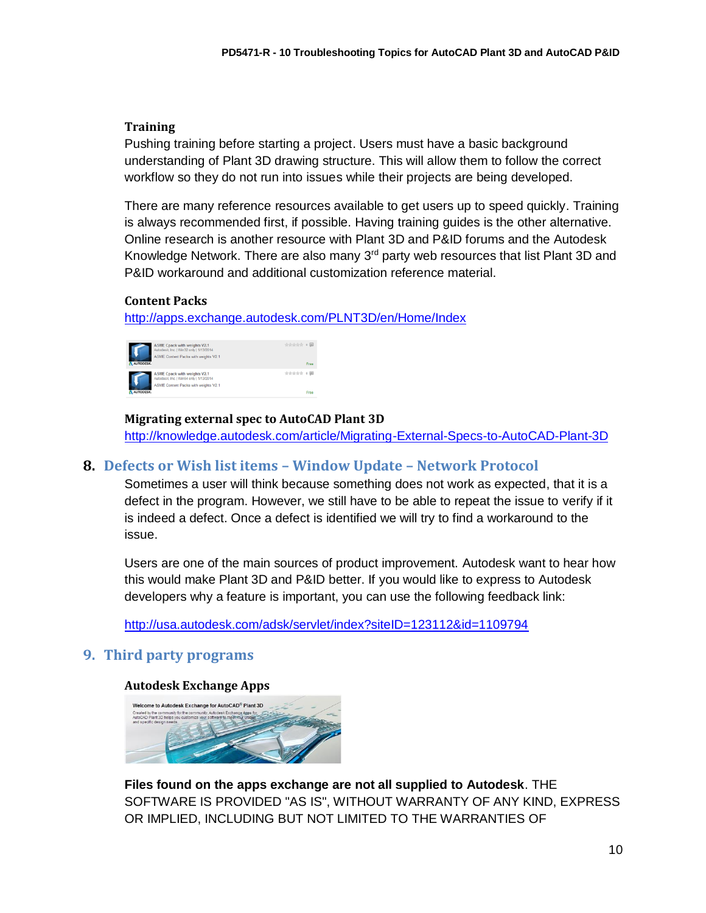## **Training**

Pushing training before starting a project. Users must have a basic background understanding of Plant 3D drawing structure. This will allow them to follow the correct workflow so they do not run into issues while their projects are being developed.

There are many reference resources available to get users up to speed quickly. Training is always recommended first, if possible. Having training guides is the other alternative. Online research is another resource with Plant 3D and P&ID forums and the Autodesk Knowledge Network. There are also many  $3<sup>rd</sup>$  party web resources that list Plant 3D and P&ID workaround and additional customization reference material.

## **Content Packs**

<http://apps.exchange.autodesk.com/PLNT3D/en/Home/Index>



**Migrating external spec to AutoCAD Plant 3D** <http://knowledge.autodesk.com/article/Migrating-External-Specs-to-AutoCAD-Plant-3D>

# **8. Defects or Wish list items – Window Update – Network Protocol**

Sometimes a user will think because something does not work as expected, that it is a defect in the program. However, we still have to be able to repeat the issue to verify if it is indeed a defect. Once a defect is identified we will try to find a workaround to the issue.

Users are one of the main sources of product improvement. Autodesk want to hear how this would make Plant 3D and P&ID better. If you would like to express to Autodesk developers why a feature is important, you can use the following feedback link:

<http://usa.autodesk.com/adsk/servlet/index?siteID=123112&id=1109794>

# **9. Third party programs**

#### **Autodesk Exchange Apps**



**Files found on the apps exchange are not all supplied to Autodesk**. THE SOFTWARE IS PROVIDED "AS IS", WITHOUT WARRANTY OF ANY KIND, EXPRESS OR IMPLIED, INCLUDING BUT NOT LIMITED TO THE WARRANTIES OF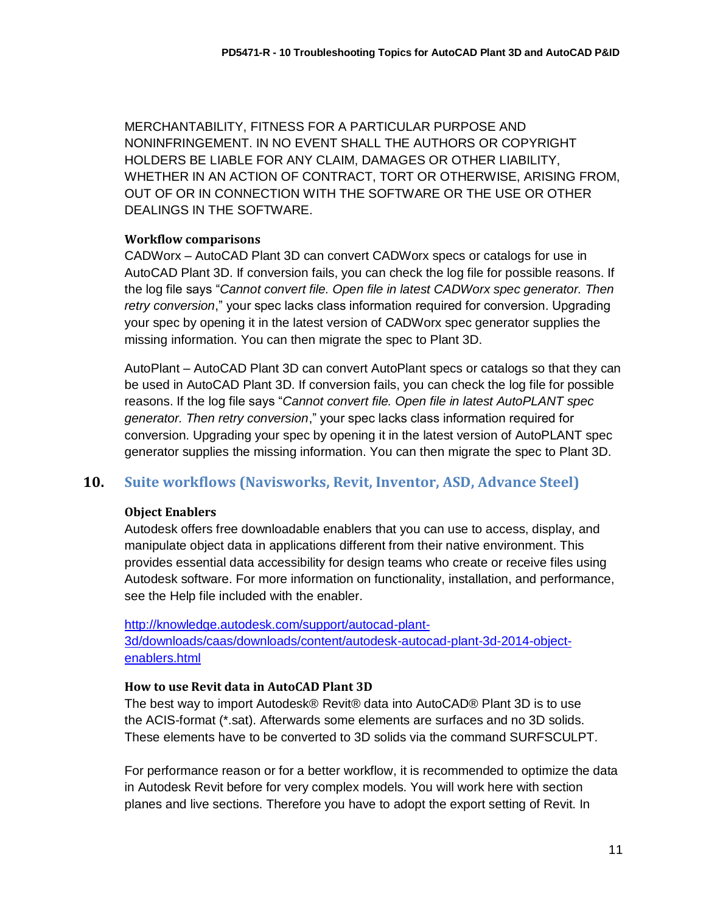MERCHANTABILITY, FITNESS FOR A PARTICULAR PURPOSE AND NONINFRINGEMENT. IN NO EVENT SHALL THE AUTHORS OR COPYRIGHT HOLDERS BE LIABLE FOR ANY CLAIM, DAMAGES OR OTHER LIABILITY, WHETHER IN AN ACTION OF CONTRACT, TORT OR OTHERWISE, ARISING FROM, OUT OF OR IN CONNECTION WITH THE SOFTWARE OR THE USE OR OTHER DEALINGS IN THE SOFTWARE.

#### **Workflow comparisons**

CADWorx – AutoCAD Plant 3D can convert CADWorx specs or catalogs for use in AutoCAD Plant 3D. If conversion fails, you can check the log file for possible reasons. If the log file says "*Cannot convert file. Open file in latest CADWorx spec generator. Then retry conversion*," your spec lacks class information required for conversion. Upgrading your spec by opening it in the latest version of CADWorx spec generator supplies the missing information. You can then migrate the spec to Plant 3D.

AutoPlant – AutoCAD Plant 3D can convert AutoPlant specs or catalogs so that they can be used in AutoCAD Plant 3D. If conversion fails, you can check the log file for possible reasons. If the log file says "*Cannot convert file. Open file in latest AutoPLANT spec generator. Then retry conversion*," your spec lacks class information required for conversion. Upgrading your spec by opening it in the latest version of AutoPLANT spec generator supplies the missing information. You can then migrate the spec to Plant 3D.

## **10. Suite workflows (Navisworks, Revit, Inventor, ASD, Advance Steel)**

#### **Object Enablers**

Autodesk offers free downloadable enablers that you can use to access, display, and manipulate object data in applications different from their native environment. This provides essential data accessibility for design teams who create or receive files using Autodesk software. For more information on functionality, installation, and performance, see the Help file included with the enabler.

[http://knowledge.autodesk.com/support/autocad-plant-](http://knowledge.autodesk.com/support/autocad-plant-3d/downloads/caas/downloads/content/autodesk-autocad-plant-3d-2014-object-enablers.html)[3d/downloads/caas/downloads/content/autodesk-autocad-plant-3d-2014-object](http://knowledge.autodesk.com/support/autocad-plant-3d/downloads/caas/downloads/content/autodesk-autocad-plant-3d-2014-object-enablers.html)[enablers.html](http://knowledge.autodesk.com/support/autocad-plant-3d/downloads/caas/downloads/content/autodesk-autocad-plant-3d-2014-object-enablers.html)

#### **How to use Revit data in AutoCAD Plant 3D**

The best way to import Autodesk® Revit® data into AutoCAD® Plant 3D is to use the ACIS-format (\*.sat). Afterwards some elements are surfaces and no 3D solids. These elements have to be converted to 3D solids via the command SURFSCULPT.

For performance reason or for a better workflow, it is recommended to optimize the data in Autodesk Revit before for very complex models. You will work here with section planes and live sections. Therefore you have to adopt the export setting of Revit. In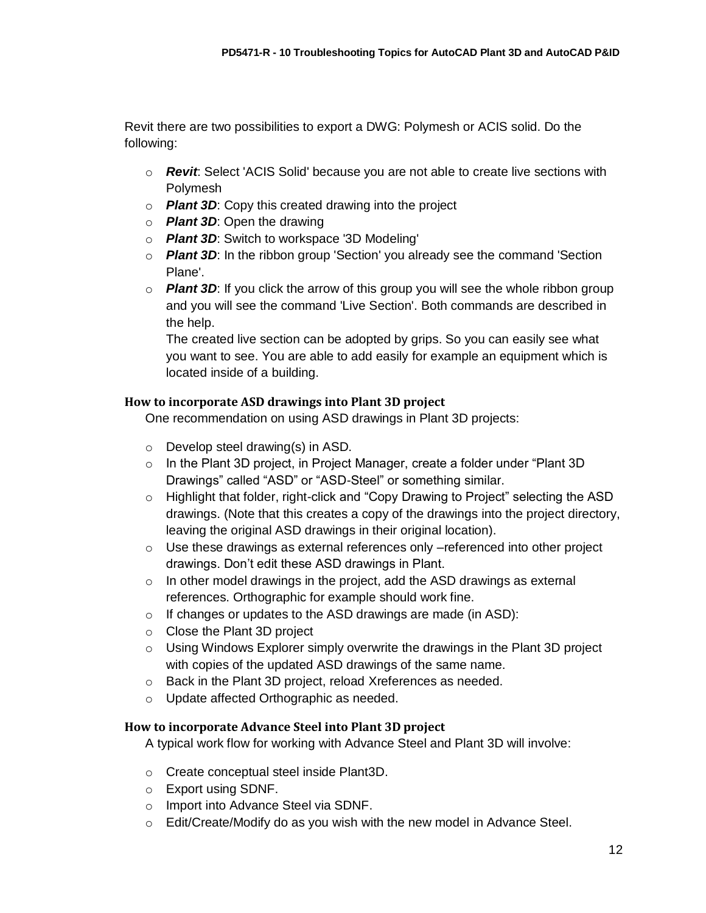Revit there are two possibilities to export a DWG: Polymesh or ACIS solid. Do the following:

- o *Revit*: Select 'ACIS Solid' because you are not able to create live sections with Polymesh
- o *Plant 3D*: Copy this created drawing into the project
- o *Plant 3D*: Open the drawing
- o *Plant 3D*: Switch to workspace '3D Modeling'
- o *Plant 3D*: In the ribbon group 'Section' you already see the command 'Section Plane'.
- o *Plant 3D*: If you click the arrow of this group you will see the whole ribbon group and you will see the command 'Live Section'. Both commands are described in the help.

The created live section can be adopted by grips. So you can easily see what you want to see. You are able to add easily for example an equipment which is located inside of a building.

## **How to incorporate ASD drawings into Plant 3D project**

One recommendation on using ASD drawings in Plant 3D projects:

- $\circ$  Develop steel drawing(s) in ASD.
- $\circ$  In the Plant 3D project, in Project Manager, create a folder under "Plant 3D Drawings" called "ASD" or "ASD-Steel" or something similar.
- $\circ$  Highlight that folder, right-click and "Copy Drawing to Project" selecting the ASD drawings. (Note that this creates a copy of the drawings into the project directory, leaving the original ASD drawings in their original location).
- $\circ$  Use these drawings as external references only –referenced into other project drawings. Don't edit these ASD drawings in Plant.
- $\circ$  In other model drawings in the project, add the ASD drawings as external references. Orthographic for example should work fine.
- $\circ$  If changes or updates to the ASD drawings are made (in ASD):
- o Close the Plant 3D project
- $\circ$  Using Windows Explorer simply overwrite the drawings in the Plant 3D project with copies of the updated ASD drawings of the same name.
- o Back in the Plant 3D project, reload Xreferences as needed.
- o Update affected Orthographic as needed.

## **How to incorporate Advance Steel into Plant 3D project**

A typical work flow for working with Advance Steel and Plant 3D will involve:

- o Create conceptual steel inside Plant3D.
- o Export using SDNF.
- o Import into Advance Steel via SDNF.
- $\circ$  Edit/Create/Modify do as you wish with the new model in Advance Steel.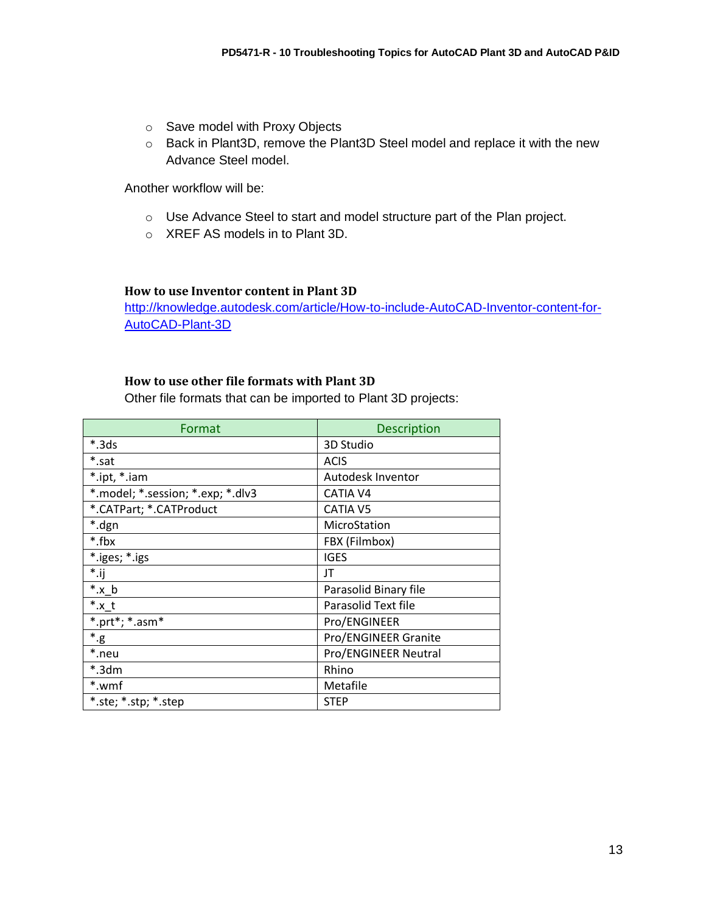- o Save model with Proxy Objects
- o Back in Plant3D, remove the Plant3D Steel model and replace it with the new Advance Steel model.

Another workflow will be:

- o Use Advance Steel to start and model structure part of the Plan project.
- o XREF AS models in to Plant 3D.

#### **How to use Inventor content in Plant 3D**

[http://knowledge.autodesk.com/article/How-to-include-AutoCAD-Inventor-content-for-](http://knowledge.autodesk.com/article/How-to-include-AutoCAD-Inventor-content-for-AutoCAD-Plant-3D)[AutoCAD-Plant-3D](http://knowledge.autodesk.com/article/How-to-include-AutoCAD-Inventor-content-for-AutoCAD-Plant-3D)

## **How to use other file formats with Plant 3D**

Other file formats that can be imported to Plant 3D projects:

| Format                            | <b>Description</b>    |
|-----------------------------------|-----------------------|
| $*.3ds$                           | 3D Studio             |
| *.sat                             | <b>ACIS</b>           |
| *.ipt, *.iam                      | Autodesk Inventor     |
| *.model; *.session; *.exp; *.dlv3 | <b>CATIA V4</b>       |
| *.CATPart; *.CATProduct           | <b>CATIA V5</b>       |
| *.dgn                             | MicroStation          |
| *.fbx                             | FBX (Filmbox)         |
| *.iges; *.igs                     | <b>IGES</b>           |
| $*.$ ij                           | JT                    |
| $*$ .x_b                          | Parasolid Binary file |
| $^*$ .x_t                         | Parasolid Text file   |
| *.prt*; $*$ .asm $*$              | Pro/ENGINEER          |
| $^*.\mathrm{g}$                   | Pro/ENGINEER Granite  |
| *.neu                             | Pro/ENGINEER Neutral  |
| *.3dm                             | Rhino                 |
| *.wmf                             | Metafile              |
| *.ste; *.stp; *.step              | <b>STEP</b>           |